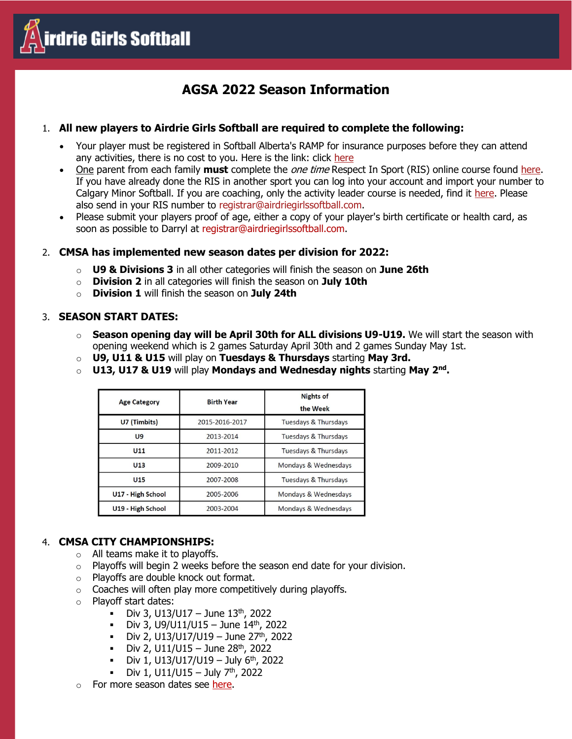

# **AGSA 2022 Season Information**

## 1. **All new players to Airdrie Girls Softball are required to complete the following:**

- Your player must be registered in Softball Alberta's RAMP for insurance purposes before they can attend any activities, there is no cost to you. Here is the link: click [here](https://www.rampregistrations.com/login?v3=598120aa8a)
- One parent from each family **must** complete the one time Respect In Sport (RIS) online course found [here.](https://calgaryminorsoftballparent.respectgroupinc.com/) If you have already done the RIS in another sport you can log into your account and import your number to Calgary Minor Softball. If you are coaching, only the activity leader course is needed, find it [here.](https://softballcanada-activityleader.respectgroupinc.com/) Please also send in your RIS number to registrar@airdriegirlssoftball.com.
- Please submit your players proof of age, either a copy of your player's birth certificate or health card, as soon as possible to Darryl at registrar@airdriegirlssoftball.com.

## 2. **CMSA has implemented new season dates per division for 2022:**

- o **U9 & Divisions 3** in all other categories will finish the season on **June 26th**
- o **Division 2** in all categories will finish the season on **July 10th**
- o **Division 1** will finish the season on **July 24th**

#### 3. **SEASON START DATES:**

- o **Season opening day will be April 30th for ALL divisions U9-U19.** We will start the season with opening weekend which is 2 games Saturday April 30th and 2 games Sunday May 1st.
- o **U9, U11 & U15** will play on **Tuesdays & Thursdays** starting **May 3rd.**
- o **U13, U17 & U19** will play **Mondays and Wednesday nights** starting **May 2nd .**

| <b>Age Category</b> | <b>Birth Year</b> | <b>Nights of</b><br>the Week |
|---------------------|-------------------|------------------------------|
| U7 (Timbits)        | 2015-2016-2017    | Tuesdays & Thursdays         |
| U <sub>9</sub>      | 2013-2014         | Tuesdays & Thursdays         |
| U <sub>11</sub>     | 2011-2012         | Tuesdays & Thursdays         |
| U <sub>13</sub>     | 2009-2010         | Mondays & Wednesdays         |
| U <sub>15</sub>     | 2007-2008         | Tuesdays & Thursdays         |
| U17 - High School   | 2005-2006         | Mondays & Wednesdays         |
| U19 - High School   | 2003-2004         | Mondays & Wednesdays         |

## 4. **CMSA CITY CHAMPIONSHIPS:**

- o All teams make it to playoffs.
- $\circ$  Playoffs will begin 2 weeks before the season end date for your division.
- Playoffs are double knock out format.
- $\circ$  Coaches will often play more competitively during playoffs.
- o Playoff start dates:
	- Div 3, U13/U17 June  $13^{th}$ , 2022
	- $\blacksquare$  Div 3, U9/U11/U15 June 14<sup>th</sup>, 2022
	- $\blacksquare$  Div 2, U13/U17/U19 June 27<sup>th</sup>, 2022
	- Div 2,  $U11/U15 June 28<sup>th</sup>$ , 2022
	- $\blacksquare$  Div 1, U13/U17/U19 July 6<sup>th</sup>, 2022
	- $\blacksquare$  Div 1, U11/U15 July 7<sup>th</sup>, 2022
- o For more season dates see [here.](http://calgaryminorsoftball.com/page.php?page_id=39184)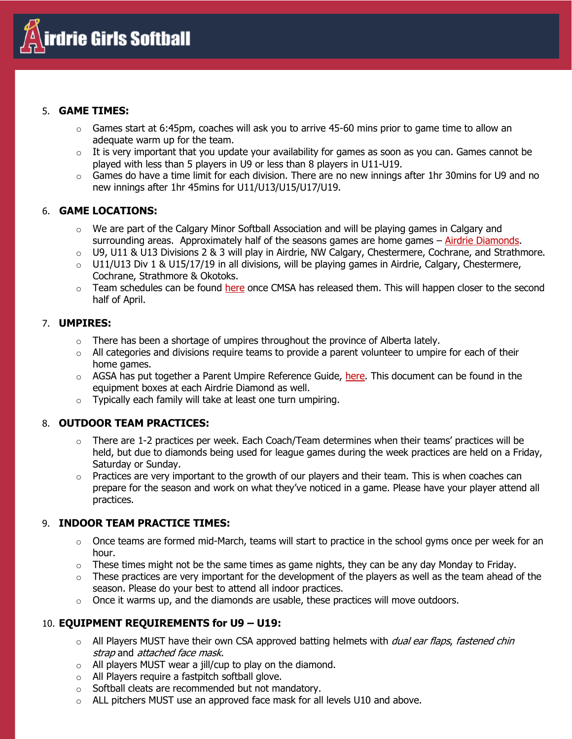

## 5. **GAME TIMES:**

- $\circ$  Games start at 6:45pm, coaches will ask you to arrive 45-60 mins prior to game time to allow an adequate warm up for the team.
- $\circ$  It is very important that you update your availability for games as soon as you can. Games cannot be played with less than 5 players in U9 or less than 8 players in U11-U19.
- $\circ$  Games do have a time limit for each division. There are no new innings after 1hr 30mins for U9 and no new innings after 1hr 45mins for U11/U13/U15/U17/U19.

## 6. **GAME LOCATIONS:**

- $\circ$  We are part of the Calgary Minor Softball Association and will be playing games in Calgary and surrounding areas. Approximately half of the seasons games are home games – [Airdrie Diamonds.](https://airdriegirlssoftball.com/diamond-locations/)
- $\circ$  U9, U11 & U13 Divisions 2 & 3 will play in Airdrie, NW Calgary, Chestermere, Cochrane, and Strathmore.
- $\circ$  U11/U13 Div 1 & U15/17/19 in all divisions, will be playing games in Airdrie, Calgary, Chestermere, Cochrane, Strathmore & Okotoks.
- o Team schedules can be found [here](https://airdriegirlssoftball.com/schedules/) once CMSA has released them. This will happen closer to the second half of April.

## 7. **UMPIRES:**

- $\circ$  There has been a shortage of umpires throughout the province of Alberta lately.
- $\circ$  All categories and divisions require teams to provide a parent volunteer to umpire for each of their home games.
- $\circ$  AGSA has put together a Parent Umpire Reference Guide, [here.](https://airdriegirlssoftball.com/wp-content/uploads/2022/02/AGSA-Parent-Umpire-Quick-Reference-Guide-2022.pdf) This document can be found in the equipment boxes at each Airdrie Diamond as well.
- o Typically each family will take at least one turn umpiring.

# 8. **OUTDOOR TEAM PRACTICES:**

- $\circ$  There are 1-2 practices per week. Each Coach/Team determines when their teams' practices will be held, but due to diamonds being used for league games during the week practices are held on a Friday, Saturday or Sunday.
- $\circ$  Practices are very important to the growth of our players and their team. This is when coaches can prepare for the season and work on what they've noticed in a game. Please have your player attend all practices.

# 9. **INDOOR TEAM PRACTICE TIMES:**

- $\circ$  Once teams are formed mid-March, teams will start to practice in the school gyms once per week for an hour.
- $\circ$  These times might not be the same times as game nights, they can be any day Monday to Friday.
- $\circ$  These practices are very important for the development of the players as well as the team ahead of the season. Please do your best to attend all indoor practices.
- $\circ$  Once it warms up, and the diamonds are usable, these practices will move outdoors.

# 10. **EQUIPMENT REQUIREMENTS for U9 – U19:**

- o All Players MUST have their own CSA approved batting helmets with *dual ear flaps, fastened chin* strap and attached face mask.
- $\circ$  All players MUST wear a jill/cup to play on the diamond.
- o All Players require a fastpitch softball glove.
- o Softball cleats are recommended but not mandatory.
- $\circ$  ALL pitchers MUST use an approved face mask for all levels U10 and above.